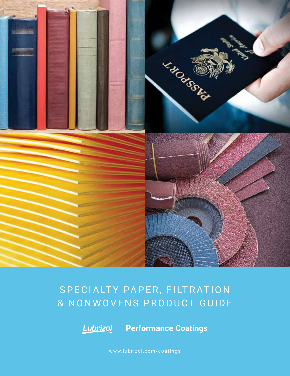

# SPECIALTY PAPER, FILTRATION & NONWOVENS PRODUCT GUIDE



**Lubrizol** Performance Coatings

www.lubrizol.com/coatings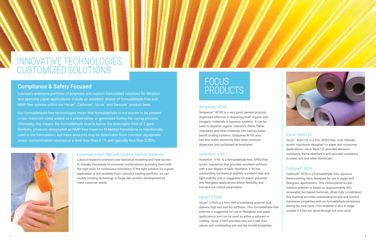



# INNOVATIVE TECHNOLOGIES, CUSTOMIZED SOLUTIONS

### Customer-Driven R&D and Custom-Tailored Solutions

Lubrizol's extensive portfolio of polymers and custom-formulated solutions for filtration and specialty paper applications include an excellent choice of formaldehyde-free and NMP-free options within our Hycar®, Carboset™, Vycar™ and Sancure™ product lines.

> Lubrizol research scientists use statistical modeling and have access to virtually thousands of monomer combinations, providing them with the right tools for continuous innovation. If the right solution for a given application is not available from Lubrizol's existing portfolio, we can modify existing technology or forge new product development to meet customer needs.

# Compliance & Safety Focused

# **FOCUS** PRODUCTS

Our formaldehyde-free technologies mean that formaldehyde is not known to be present in raw materials used, added as a preservative, or generated during the curing process. Ultimately, this means the formaldehyde level is below the detectable limit of 2 ppm. Similarly, products designated as NMP-free mean no N-Methyl Pyrrolidone is intentionally used in the formulation, but trace amounts may be detectable from common equipment cross–contamination sources at a level less than 0.1% and typically less than 0.05%.



Hystretch™ V-90 is a formaldehyde-free, APEO-free acrylic copolymer that provides excellent softness with a low degree of tack. Hystretch V-90 has outstanding mechanical stability, excellent heat and light stability and is suggested for paper, polyester and fiberglass applications where flexibility and low tack are critical parameters.

#### Solsperse™ W100

Solsperse™ W100 is a very good, general purpose dispersant effective in dispersing both organic and inorganic materials is aqueous systems. It can be used to disperse organic colorants, fillers, flame retardants and other materials into various waterbased coating systems. Solsperse W100 also has less water sensitivity than other common dispersant and surfactant technologies.

#### Hystretch™ V-90

### Hycar® 27005

Hycar® 27005 is a firm, self-crosslinking polymer that delivers high wet and dry stiffness. This formaldehyde-free polymer is suggested for use in fiberglass and paper applications and can be used as either a saturant or coating. Hycar 27005 provides very low Cobb Size values and outstanding wet and dry tensile properties.

## Vycar™ 460x122

Vycar™ 460x122 is a firm, APEO-free, vinyl chloride acrylic copolymer designed for paper and nonwoven applications. Vycar 460x122 provides abrasion resistance, flame-retardance and provides resistance to water, oils and other chemicals.

## Carboset® 3076

Carboset® 3076 is a formaldehyde free, aqueous thermosetting resin designed for use in paper and fiberglass applications. This carboxylated acrylic solution polymer is based on approximately 85% renewable, bio-based materials. When fully crosslinked, this material provides outstanding tensile and solvent resistance properties with no formaldehyde emissions during the cure cycle. This material is also B stage curable if it has not gone through full cure cycle.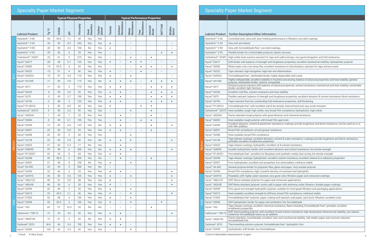## Specialty Paper Market Segment

|        |                                                      |                |               | <b>Typical Physical Properties</b> |           |                  |                   | <b>Typical Performance Properties</b> |                       |                            |                    |                  |                 |                 |
|--------|------------------------------------------------------|----------------|---------------|------------------------------------|-----------|------------------|-------------------|---------------------------------------|-----------------------|----------------------------|--------------------|------------------|-----------------|-----------------|
|        | <b>Lubrizol Product</b>                              | ပ္စ<br>Γg      | <b>Solids</b> | 玉                                  | Viscosity | Heat<br>Reactive | Carbox-<br>ylated | Tensile                               | Solvent<br>Resistance | Resistance<br><b>Water</b> | Tear<br>Resistance | Internal<br>Bond | <b>MIT Fold</b> | Mullen<br>Burst |
|        | Hystretch™ V-60                                      | $-60$          | 50.5          | 7.1                                | 40        | Yes              | Yes               |                                       |                       | $\circ$                    |                    |                  |                 |                 |
|        | Hystretch™ V-43                                      | $-43$          | 50            | 8.5                                | 200       | Yes              | Yes               | $\bullet$                             |                       | $\circ$                    |                    |                  |                 | $\circ$         |
|        | Hystretch™ V-90                                      | $-43$          | 50            | 4.5                                | 150       | No               | Yes               | $\bullet$                             |                       | $\circ$                    |                    |                  |                 | $\circ$         |
|        | Hystretch <sup>™</sup> V-95                          | $-29$          | 46            | 4                                  | 25        | Yes              | Yes               | $\circ$                               | $\circ$               | $\circ$                    |                    |                  | $\bullet$       | $\bullet$       |
|        | Carbobond <sup>™</sup> 26387                         | $-23$          | 61            | 5                                  | 275       | Yes              | Yes               | $\circ$                               | $\circ$               | $\bullet$                  | $\circ$            | $\bullet$        |                 |                 |
|        | Hycar <sup>®</sup> 26477                             | $-20$          | 48            | 5.7                                | 125       | Yes              | Yes               | $\bullet$                             | $\circ$               | $\bullet$                  | $\bullet$          | $\circ$          | $\circ$         | $\circ$         |
|        | Hycar <sup>®</sup> 26083                             | $-15$          | 52.5          | 6                                  | 55        | Yes              | Yes               | $\circ$                               | $\circ$               | $\circ$                    | $\bullet$          | $\bullet$        | $\circ$         | $\bullet$       |
|        | Hycar <sup>®</sup> 26322                             | $-15$          | 51            | $\overline{4}$                     | 40        | Yes              | Yes               | $\bullet$                             | $\circ$               | $\circ$                    | $\bullet$          | $\circ$          | $\circ$         |                 |
| Soft   | Hycar <sup>®</sup> 26552A                            | $-15$          | 47            | 4.5                                | 110       | Yes              | Yes               | $\bullet$                             | $\circ$               | $\bullet$                  |                    |                  |                 | $\circ$         |
|        | Hycar <sup>®</sup> 26120E                            | $-11$          | 50            | 3.8                                | 115       | Yes              | <b>No</b>         | $\bullet$                             | $\bullet$             | $\bullet$                  | $\circ$            | $\bullet$        | $\bullet$       | $\bullet$       |
|        | Hycar <sup>®</sup> 2671                              | $-11$          | 53            | 5                                  | 170       | Yes              | Yes               | $\bullet$                             | $\bullet$             | $\circ$                    | $\circ$            | $\bullet$        | $\bullet$       | $\bullet$       |
|        | Hycar <sup>®</sup> 26345                             | -6             | 50            | 3.6                                | 20        | Yes              | Yes               | $\bullet$                             | $\bullet$             | $\circ$                    |                    | $\bullet$        | $\bullet$       | $\bullet$       |
|        | Hycar <sup>®</sup> 2679                              | -3             | 49            | 3.7                                | 100       | Yes              | Yes               | $\bullet$                             | $\bullet$             | $\circ$                    |                    | $\bullet$        | $\bullet$       | $\bullet$       |
|        | Hycar <sup>®</sup> 26796                             | $\overline{0}$ | 48            | 5                                  | 120       | Yes              | Yes               | $\bullet$                             | $\bullet$             |                            |                    | $\bullet$        | $\bullet$       | $\bullet$       |
|        | Hycar <sup>®</sup> FF-26916                          | $\overline{2}$ | 50            | 8.5                                | 65        | Yes              | Yes               | $\bullet$                             |                       |                            | $\bullet$          | $\bullet$        |                 |                 |
|        | Carbobond <sup>™</sup> 26373                         | 5              | 58            | 2.6                                | 90        | Yes              | Yes               | $\circ$                               |                       | $\bullet$                  |                    | $\bullet$        |                 |                 |
|        | Vycar <sup>™</sup> 460X46                            | 7              | 49            | 7                                  | 35        | Yes              | Yes               |                                       | $\bullet$             | $\circ$                    |                    | $\bullet$        | $\circ$         |                 |
|        | Hycar <sup>®</sup> 26084                             | 8              | 49            | 6.1                                | 100       | Yes              | Yes               | $\circ$                               | $\bullet$             | $\circ$                    | $\bullet$          | $\bullet$        |                 |                 |
|        | Hycar <sup>®</sup> 26349                             | 12             | 49            | 4.6                                | 135       | Yes              | No                | $\bullet$                             | $\bullet$             | $\circ$                    |                    | $\bullet$        |                 | $\bullet$       |
|        | Hycar <sup>®</sup> 26091                             | 20             | 50            | 6.8                                | 35        | Yes              | Yes               | $\bullet$                             | $\bullet$             | $\circ$                    | $\circ$            | $\bullet$        |                 |                 |
|        | Hycar <sup>®</sup> 26288                             | 20             | 49            | $\overline{4}$                     | 60        | Yes              | Yes               |                                       |                       | $\bullet$                  |                    |                  |                 |                 |
|        | Hycar <sup>®</sup> 26138                             | 25             | 49            | 5.5                                | 60        | Yes              | <b>No</b>         | $\bullet$                             | $\bullet$             | $\bullet$                  |                    | $\circ$          |                 | $\bullet$       |
| Medium | Hycar <sup>®</sup> 26523                             | 27             | 42            | 5.2                                | 17        | No               | Yes               |                                       | $\bullet$             |                            |                    |                  |                 |                 |
|        | Hycar <sup>®</sup> 26869S                            | 29             | 48            | 6                                  | 200       | Yes              | No                | $\bullet$                             | $\bullet$             | $\bullet$                  |                    |                  |                 | $\bullet$       |
|        | Hycar® FF-26921                                      | 29             | 44            | 8                                  | 65        | Yes              | Yes               | $\bullet$                             | $\bullet$             |                            |                    |                  |                 |                 |
|        | Hycar <sup>®</sup> 26348                             | 30             | 48.5          | 6                                  | 200       | Yes              | No                | $\circ$                               | $\bullet$             | $\circ$                    | $\circ$            | $\bullet$        |                 |                 |
|        | Hycar <sup>®</sup> 26907                             | 31             | 48            | 6                                  | 100       | No               | Yes               | $\bullet$                             |                       | $\bullet$                  |                    |                  |                 |                 |
|        | Vycar <sup>®</sup> VA-450                            | 32             | 45            | 3                                  | 500       | Yes              | No                | $\circ$                               |                       |                            |                    |                  |                 |                 |
|        | Hycar <sup>®</sup> 26450                             | 32             | 46            | $\overline{4}$                     | 25        | Yes              | Yes               | $\bullet$                             | $\bullet$             | $\circ$                    |                    |                  |                 | $\bullet$       |
|        | Hycar <sup>®</sup> 26391E                            | 36             | 50            | 3.6                                | 125       | Yes              | Yes               | $\bullet$                             | $\circ$               | $\bullet$                  |                    |                  |                 | $\bullet$       |
|        | Vycar <sup>™</sup> 460x122                           | 40             | 51            | $5.0$                              | 50        | Yes              | Yes               | $\bullet$                             | $\circ$               | $\circ$                    |                    |                  |                 | $\bullet$       |
|        | Vycar <sup>™</sup> 460x58                            | 40             | 50            | 6                                  | 20        | Yes              | Yes               | $\bullet$                             | $\circ$               | $\circ$                    |                    |                  |                 | $\bullet$       |
|        | Hycar <sup>®</sup> 26599<br>Hycar <sup>®</sup> 26315 | 42<br>55       | 45<br>49.5    | 3<br>2.1                           | 20<br>36  | Yes<br>Yes       | Yes<br>Yes        | $\bullet$<br>$\bullet$                | $\circ$               | $\bullet$<br>$\bullet$     |                    |                  |                 | $\bullet$       |
|        | Hycar <sup>®</sup> 27005                             | 53             | 48            | 4                                  | 150       | Yes              | Yes               | $\bullet$                             | $\circ$               | $\bullet$                  |                    |                  |                 |                 |
|        | Hycar <sup>®</sup> 26968                             | 59             | 46.5          | 3                                  | 100       | Yes              | Yes               | $\bullet$                             | $\circ$               | $\bullet$                  |                    |                  | $\bullet$       |                 |
| Hard   | Vycar <sup>™</sup> 352                               | 69             | 57            | 10.3                               | 20        | No               | No                | $\circ$                               | $\circ$               | $\circ$                    |                    | $\bullet$        |                 |                 |
|        | Carbocure <sup>™</sup> TSR-72                        | 72             | 35            | 4.6                                | 50        | Yes              | Yes               | $\bullet$                             | $\bullet$             | $\circ$                    |                    |                  |                 | $\bullet$       |
|        | Vycar <sup>™</sup> 460X104                           | 73             | 51            | 5                                  | 20        | No               | Yes               | $\bullet$                             | $\bullet$             |                            |                    |                  |                 |                 |
|        | Carboset <sup>®</sup> 3076                           | N/A            | 46            | 3.4                                | 700       | Yes              | Yes               | $\bullet$                             | $\bullet$             | $\circ$                    |                    |                  |                 |                 |
|        | Hycar <sup>®</sup> 26459                             | 105            | 45            | $3.5\,$                            | $50\,$    | Yes              | Yes               | $\circ$                               |                       | $\bullet$                  |                    |                  |                 |                 |

Hycar® 26120E Highly redispersible; excellent stability in machine processing; balance of physical properties and heat stability; general purpose, sterilizable binder; cationic compatible

Hycar® 2671 General purpose saturant with balance of physical properties; solvent resistance; mechanical and heat stability; sterilizable

Hycar<sup>®</sup> 26345 Excellent cold flex, solvent resistance and heat stability

Hycar® 2679 Flexible saturant; balance of strength and toughness properties; excellent abrasion & solvent resistance; block resistance

Specialty Paper Market Segment

 **Lubrizol Product Further Description/Other Information**

Soft

Hystretch™ V-43 Very soft and elastic

Carbobond™ 26387 High solids heat reactive saturant for tape and wallcoverings; very good elongation and fold endurance

Hycar® 26477 Soft binder with balance of strength and toughness properties; excellent mechanical stability; hydrophobic polymer

Hycar® 26083 White-water color; low temp flex; excellent resistance to discoloration; saturant for tape and pre-mask

Hycar<sup>®</sup> 26322 | Tape saturant; high elongation, high tear and delamination

Hycar® 26552A | Formaldehyde-free<sup>1</sup>, sterilizable binder; highly dispersible until cured

binder; excellent light fastness

with filler addition

Hycar® 26288 Heat sealable; broad FDA compliance

Hycar® 26796 Paper saturant that has outstanding fold endurance properties; self-thickening

Hycar® FF-26916 Formaldehyde-free<sup>1</sup> with excellent wet & dry tensile; internal bond and very scrub resistant

Carbobond™ 26373 Heat sealable; tough; high solids; very broad FDA compliance; hydrophobic; high solids

Vycar™ 460X46 Flame retardant tough polymer with good abrasion and chemical resistance

Hycar® 26084 Heat sealable; tough polymer with broad FDA approvals

Hycar® 26349 Excellent abrasion, solvent & plasticizer resistance; coatings provide toughness and block resistance; can be used as is or

Hycar<sup>®</sup> 26091 | Broad FDA compliance; oil and grease resistance

Hycar® 26138 Tape release coatings; excellent abrasion, solvent & water resistance; coatings provide toughness and block resistance;

Hycar<sup>®</sup> 26523 | Tape release coatings; hydrophilic; excellent oil & solvent resistance

Hycar® 26869S | Durable hydrophobic binder with excellent abrasion and solvent resistance; hot tensile strength

 $Hycar^*$  FF-26921 Formaldehyde-free<sup>1</sup>; excellent for fiberglass and synthetic media, fast curing, hot tensile strength

nt solvent resistance; excellent release & re-adhesion properties

low extractables, methanol stable

lass and paper; vinyl acetate polymer

ity; oil resistant and hydrophilic

good color, filtration paper and nonwoven coatings

nonwoven applications

paper with antimony oxide; filtration; durable paper coatings

r; suitable for food grade filtration and packaging applications

s; broad FDA compliance, methanol stable

and saturant; wall paper, card stock, filtration; excellent color

netics; low formaldehyde

esistance; flame retarding; formaldehyde-free<sup>2</sup>; printable; excellent

oil and solvent resistance; high temperature dimensional stability; can replace

lor and mechanical stability; salt stable; paper and nowoven saturant;

yde-free<sup>1</sup>; hydrophilic; firm

Medium

printable; excellent re-adhesion properties

Hard

 $_3$   $\circ$  Good  $\bullet$  Very Good  $\bullet$  Very Good  $_4$ <sup>1</sup>Limit of detectable measurement <2 ppm

Hystretch™ V-60 Controlled tack; ultra-soft, dust holding performance in filtration; non-skid coatings

Hystretch™ V-90 Very soft, formaldehyde-free<sup>1</sup>, non-skid coatings

Hystretch™ V-95 Flexible binder for conformable products; elastic recovery

| TIVUAL FF-ZU9ZT               | FUITILIQUEIIVUE TIEE, EXCEIIEIII TUI TIDEI UIQSS Q                                             |
|-------------------------------|------------------------------------------------------------------------------------------------|
| Hycar <sup>®</sup> 26348      | Tape release coatings; hydrophobic; excellent                                                  |
| Hycar <sup>®</sup> 26907      | Firm, hydrophobic; excellent wet properties, Ic                                                |
| Vycar <sup>®</sup> VA-450     | General purpose binder for polyester fiber, gla                                                |
| Hycar <sup>®</sup> 26450      | Broad FDA compliance, high crosslink density                                                   |
| Hycar <sup>®</sup> 26391E     | Pleatable; stiff; highly water resistant; very go                                              |
| Vycar <sup>™</sup> 460x122    | Stiff, flame retardant polymer for paper and ne                                                |
| Vycar <sup>™</sup> 460x58     | Stiff flame retardant polymer; works well in pa                                                |
| Hycar <sup>®</sup> 26599      | Firm, good wet strength hydrophilic polymer;                                                   |
| Hycar <sup>®</sup> 26315      | Heat sealable; excellent strength & stiffness; I                                               |
| Hycar <sup>®</sup> 27005      | Formaldehdye-free <sup>1</sup> polymer; paper coating a                                        |
| Hycar <sup>®</sup> 26968      | Stiff hydrophobic binder for paper and synthe                                                  |
| Vycar <sup>™</sup> 352        | Tape release coatings; excellent chemical res<br>re-adhesion properties                        |
| Carbocure <sup>™</sup> TSR-72 | Stiff, thermosetting polymer with excellent oil<br>melamine formaldehyde resins as an additive |
| Vycar <sup>™</sup> 460X104    | Flame retardant; crosslinkable; excellent colo<br>formaldehyde-free                            |
| Carboset <sup>®</sup> 3076    | Thermosetting solution polymer; formaldehyd                                                    |
| Hycar <sup>®</sup> 26459      | Hydrophobic stiff binder; low formaldehyde                                                     |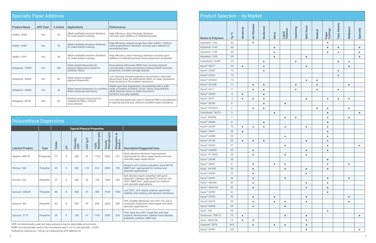| <b>Specialty Paper Additives</b> |                       |          |                                                                                  |                                                                                                                                                                                                       |  |  |  |  |  |  |  |
|----------------------------------|-----------------------|----------|----------------------------------------------------------------------------------|-------------------------------------------------------------------------------------------------------------------------------------------------------------------------------------------------------|--|--|--|--|--|--|--|
| <b>Product Name</b>              | APE-Free <sup>1</sup> | % Active | <b>Applications</b>                                                              | <b>Performance</b>                                                                                                                                                                                    |  |  |  |  |  |  |  |
| Solthix" A200                    | Yes                   | 30       | Alkali-swellable emulsion thickener<br>for water-based coatings.                 | High efficiency, short rheology, develops<br>viscosity upon addition of neutralizing base.                                                                                                            |  |  |  |  |  |  |  |
| Solthix" A300                    | Yes                   | 18       | Alkali-swellable emulsion thickener<br>for water-based coatings.                 | High efficiency, imparts longer flow than Solthix™ A200 to<br>control penetration, develops viscosity upon addition of<br>neutralizing base.                                                          |  |  |  |  |  |  |  |
| Solthix" A301                    | Yes                   | 36       | Alkali-swellable emulsion thickener<br>for water-based coatings.                 | High efficiency, short rheology, develops viscosity upon<br>addition of neutralizing base; Good suspension properties.                                                                                |  |  |  |  |  |  |  |
| Solsperse" 27000                 | Yes                   | 100      | Water-based dispersant for<br>pigment dispersions; good for<br>synthetic fibers. | Nonyl phenyl ethoxylate (NPE) free; Increase pigment<br>concentration; Improved pigment wetting; Better tinctorial<br>properties; Excellent storage stability.                                        |  |  |  |  |  |  |  |
| Solsperse" 40000                 | Yes                   | 85       | Water-based inorganic<br>pigment dispersant.                                     | Low foaming; Increase pigment concentration; Improved<br>gloss/lower haze; No detrimental effect on water resistance;<br>Improvements in flocculation resistance.                                     |  |  |  |  |  |  |  |
| Solsperse" 46000                 | Yes                   | 40       | Water-based dispersant for synthetic<br>fibers (polyester and nylon).            | Stable resin-free dispersions; Compatibility with a wide<br>range of binders including: acrylic, epoxy, polyurethane,<br>alkyd; Minimal affect on water resistance.<br>Excellent viscosity stability. |  |  |  |  |  |  |  |
| Solsperse" W100                  | Yes                   | 40       | General purpose dispersant for<br>waterborne fillers, mineral<br>and colorants.  | Low foaming dispersant used to disperse fillers and pigments<br>to optimal particle size. Delivers excellent water resistance.                                                                        |  |  |  |  |  |  |  |

<sup>1</sup>APE not intentionally used, but trace amounts may be detectable at low levels. ²NMP not intentionally used in the formulation and is <0.1% and typically < 0.05%. ³Defined by Lubrizol as <140 g/l as measured by EPA Method 24.

# Polyurethane Dispersions

|                         |             |        |   | <b>Typical Physical Properties</b> |                      |                                                                                                                    |      |      |                                                                                                                                                                                                  |
|-------------------------|-------------|--------|---|------------------------------------|----------------------|--------------------------------------------------------------------------------------------------------------------|------|------|--------------------------------------------------------------------------------------------------------------------------------------------------------------------------------------------------|
| <b>Lubrizol Product</b> | <b>Type</b> | Solids | 품 | Viscosity<br>(CP)                  | (Vb) NO <sub>2</sub> | (psi)<br>$(\text{psi})$<br>$\vec{a}$<br>Elongation a<br>Break %<br><b>Modulus</b><br>Tensile<br>Strength (<br>100% |      |      | <b>Description/Suggested Uses</b>                                                                                                                                                                |
| Aptalon" M8100          | Polyamide   | 37     | 8 | 300                                | 25                   | 1724                                                                                                               | 2303 | 227  | Hard, abrasion resistant, heat resistant.<br>Appropriate for decor paper, bookcover and<br>specialty paper applications.                                                                         |
| Permax" 202             | Polyether   | 40     | 5 | 500                                | <10                  | 310                                                                                                                | 5000 | 750  | Medium soft nonionic polyether, Good MVTR,<br>NMP-free <sup>2</sup> . Appropriate for medical and<br>specialty applications.                                                                     |
| Permax" 232             | Polyether   | 35     | 5 | 300                                | 26                   | 160                                                                                                                | 1300 | 650  | Soft, flexible elastic polyether with good<br>hydrolytic stability; high MVTR, nonionic low<br>VOC <sup>3</sup> , NMP-free <sup>2</sup> . Appropriate for medical<br>and specialty applications. |
| Sancure" 20025F         | Polyester   | 48     | 8 | 500                                | 27                   | 300                                                                                                                | 4100 | 1000 | Low VOC <sup>3</sup> , soft, elastic polymer; good heat<br>stability, heat sealing, and abrasion resistance                                                                                      |
| Sancure" 861            | Polyether   | 40     | 8 | 650                                | 30                   | 650                                                                                                                | 2600 | 580  | Soft, durable adhesives; low VOC <sup>3</sup> , for use in<br>nonwoven, bookcover, decor paper and other<br>specialty applications.                                                              |
| Sancure" 2715           | Polyether   | 38     | 9 | 750                                | 31                   | 1100                                                                                                               | 3300 | 425  | Firm, hard, low VOC <sup>3</sup> , tough film with fast<br>property development; medium hard aliphatic<br>polyether urethane, NMP-free <sup>1</sup>                                              |

| <b>Product Selection - by Market</b> |                |                  |                       |                  |                |                      |           |                  |                |                   |                     |                |                |
|--------------------------------------|----------------|------------------|-----------------------|------------------|----------------|----------------------|-----------|------------------|----------------|-------------------|---------------------|----------------|----------------|
| <b>Resins &amp; Polymers</b>         | ပ္စ<br>Γg      | <b>Abrasives</b> | <b>Air Filtration</b> | <b>Bookcover</b> | Décor          | Liquid<br>Filtration | Gasketing | <b>MAT/Facer</b> | <b>Medical</b> | Paper<br>Coatings | <b>Tape Sarants</b> | Wallpaper      | Specialty      |
| Hystretch" V-60                      | $-60$          |                  | $\blacksquare$        |                  |                |                      |           |                  |                | $\blacksquare$    |                     |                |                |
| Hystretch" V-43                      | $-43$          |                  |                       |                  | ٠              |                      |           |                  |                | ٠                 | ٠                   |                | ٠              |
| Hystretch" V-90                      | $-43$          |                  |                       |                  | ٠              |                      |           |                  |                | $\blacksquare$    | ٠                   |                | ٠              |
| Hystretch" V-95                      | $-29$          |                  |                       |                  | ٠              |                      |           | $\blacksquare$   |                |                   |                     |                | $\blacksquare$ |
| Carbobond" 26387                     | $-23$          |                  |                       | ٠                |                |                      | ×,        |                  |                |                   | $\blacksquare$      | ٠              |                |
| Hycar <sup>®</sup> 26477             | $-20$          | ٠                |                       | $\blacksquare$   |                |                      |           | $\blacksquare$   |                |                   |                     | ш              |                |
| Hycar <sup>®</sup> 26083             | $-15$          |                  |                       | ٠                |                |                      |           |                  |                |                   | $\blacksquare$      |                |                |
| Hycar <sup>®</sup> 26322             | $-15$          |                  |                       |                  |                |                      |           |                  |                |                   | ٠                   |                |                |
| Hycar <sup>®</sup> 26552A            | $-15$          |                  |                       |                  |                |                      |           | $\blacksquare$   | ٠              |                   |                     |                |                |
| Hycar <sup>®</sup> 26120E            | $-11$          |                  | $\blacksquare$        | ٠                |                |                      | ٠         |                  | ٠              |                   |                     | ٠              |                |
| Hycar <sup>®</sup> 2671              | $-11$          |                  | $\blacksquare$        | ٠                |                |                      | u,        |                  | ٠              |                   | ٠                   |                |                |
| Hycar <sup>®</sup> 26345             | $-6$           | $\blacksquare$   |                       | ٠                |                |                      |           |                  |                |                   |                     |                |                |
| Hycar <sup>®</sup> 2679              | $-3$           | $\blacksquare$   | $\blacksquare$        | ш                |                |                      |           | $\blacksquare$   |                | $\blacksquare$    | $\blacksquare$      | g,             |                |
| Hycar <sup>®</sup> 26796             | $\mathsf 0$    |                  |                       | $\blacksquare$   |                | $\blacksquare$       |           |                  |                |                   |                     |                |                |
| Hycar <sup>®</sup> FF26916           | $\overline{2}$ |                  | ٠                     | ٠                |                |                      |           |                  | ٠              | ٠                 |                     | ш              |                |
| Carbobond" 26373                     | $\,$ 5 $\,$    |                  |                       |                  | $\blacksquare$ |                      |           |                  |                | $\blacksquare$    |                     |                | $\blacksquare$ |
| Vycar" 460X46                        | $\overline{7}$ |                  |                       |                  |                | ٠                    | ×,        |                  |                | ٠                 |                     | ٠              |                |
| Hycar <sup>®</sup> 26084             | $\,8\,$        |                  |                       | $\blacksquare$   |                |                      |           |                  |                | ٠                 |                     |                |                |
| Hycar <sup>®</sup> 26349             | 12             | $\blacksquare$   | ٠                     | ш                |                | ٠                    |           | ٠                |                | ٠                 |                     |                |                |
| Hycar <sup>®</sup> 26091             | 20             | $\blacksquare$   |                       |                  |                |                      |           |                  |                | ٠                 |                     |                |                |
| Hycar <sup>®</sup> 26288             | 20             |                  |                       |                  |                | ٠                    |           |                  |                | ٠                 |                     |                |                |
| Hycar <sup>®</sup> 26138             | 25             | $\blacksquare$   | $\blacksquare$        | $\blacksquare$   |                |                      |           | $\blacksquare$   |                | $\blacksquare$    |                     |                |                |
| Hycar <sup>®</sup> 26523             | 27             |                  |                       |                  |                | ٠                    |           |                  |                | ٠                 |                     |                | ٠              |
| Hycar <sup>®</sup> 26869S            | 29             |                  | $\blacksquare$        |                  |                |                      |           | u,               |                | u,                |                     |                |                |
| Hycar® FF-26921                      | 29             |                  | ٠                     |                  |                | ٠                    |           | ٠                |                |                   |                     |                |                |
| Hycar <sup>®</sup> 26348             | $30\,$         |                  |                       |                  |                |                      |           |                  |                | ٠                 |                     |                |                |
| Hycar <sup>®</sup> 26907             | 31             |                  | ٠                     |                  | u,             | ٠                    |           |                  |                | ٠                 |                     | $\blacksquare$ |                |
| Vycar" VA-450                        | 32             |                  | ٠                     |                  |                | ٠                    |           | ٠                |                | ٠                 |                     |                |                |
| Hycar <sup>®</sup> 26450             | 32             |                  | ш                     |                  |                |                      |           | ш                |                |                   |                     |                |                |
| Hycar <sup>®</sup> 26391             | 36             |                  | $\blacksquare$        |                  |                | ٠                    |           |                  |                | ٠                 |                     | ٠              |                |
| Vycar <sup>™</sup> 460x58            | 40             |                  | ٠                     |                  |                |                      |           | ٠                |                | ٠                 |                     |                |                |
| Vycar <sup>™</sup> 460x122           | 42             |                  | ٠                     |                  |                |                      |           | ٠                |                | ٠                 |                     |                |                |
| Hycar <sup>®</sup> 26599             | 42             |                  |                       |                  |                |                      |           |                  |                | ٠                 |                     |                |                |
| Hycar <sup>®</sup> 27005             | 53             |                  | $\blacksquare$        |                  | ٠              |                      |           | $\blacksquare$   |                |                   |                     | $\blacksquare$ |                |
| Hycar <sup>®</sup> 26315             | 55             |                  | ٠                     |                  | ш              | ٠                    |           | ٠                |                |                   |                     | ٠              |                |
| Hycar <sup>®</sup> 26968             | 59             |                  | ٠                     |                  |                | ٠                    |           |                  |                |                   |                     |                |                |
| Vycar" 352                           | 69             |                  |                       |                  |                |                      |           |                  |                | ٠                 |                     |                |                |
| Carbocure" TSR-72                    | 72             | $\blacksquare$   |                       |                  |                | ٠                    |           | ٠                |                |                   |                     |                | ٠              |
| Vycar" 460X104                       | 73             | $\blacksquare$   | ٠                     |                  |                |                      |           | ٠                |                |                   |                     |                |                |
| Carboset" 3076                       | N/A            |                  | $\blacksquare$        |                  | ٠              | $\blacksquare$       |           | ٠                |                |                   |                     |                |                |
| Hycar <sup>®</sup> 26459             | 105            |                  |                       |                  |                |                      |           | ٠                |                |                   |                     |                | ٠              |